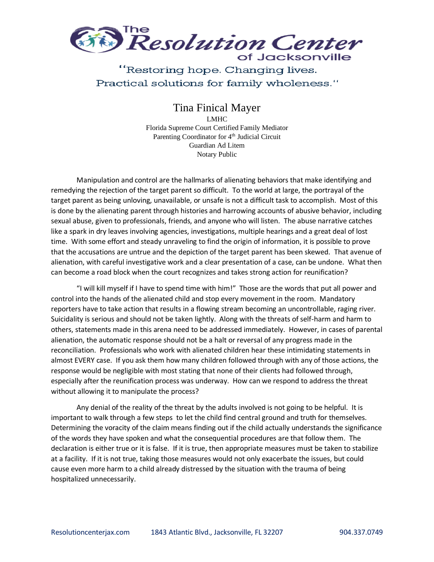

## "Restoring hope. Changing lives. Practical solutions for family wholeness."

## Tina Finical Mayer

LMHC Florida Supreme Court Certified Family Mediator Parenting Coordinator for 4<sup>th</sup> Judicial Circuit Guardian Ad Litem Notary Public

Manipulation and control are the hallmarks of alienating behaviors that make identifying and remedying the rejection of the target parent so difficult. To the world at large, the portrayal of the target parent as being unloving, unavailable, or unsafe is not a difficult task to accomplish. Most of this is done by the alienating parent through histories and harrowing accounts of abusive behavior, including sexual abuse, given to professionals, friends, and anyone who will listen. The abuse narrative catches like a spark in dry leaves involving agencies, investigations, multiple hearings and a great deal of lost time. With some effort and steady unraveling to find the origin of information, it is possible to prove that the accusations are untrue and the depiction of the target parent has been skewed. That avenue of alienation, with careful investigative work and a clear presentation of a case, can be undone. What then can become a road block when the court recognizes and takes strong action for reunification?

"I will kill myself if I have to spend time with him!" Those are the words that put all power and control into the hands of the alienated child and stop every movement in the room. Mandatory reporters have to take action that results in a flowing stream becoming an uncontrollable, raging river. Suicidality is serious and should not be taken lightly. Along with the threats of self-harm and harm to others, statements made in this arena need to be addressed immediately. However, in cases of parental alienation, the automatic response should not be a halt or reversal of any progress made in the reconciliation. Professionals who work with alienated children hear these intimidating statements in almost EVERY case. If you ask them how many children followed through with any of those actions, the response would be negligible with most stating that none of their clients had followed through, especially after the reunification process was underway. How can we respond to address the threat without allowing it to manipulate the process?

Any denial of the reality of the threat by the adults involved is not going to be helpful. It is important to walk through a few steps to let the child find central ground and truth for themselves. Determining the voracity of the claim means finding out if the child actually understands the significance of the words they have spoken and what the consequential procedures are that follow them. The declaration is either true or it is false. If it is true, then appropriate measures must be taken to stabilize at a facility. If it is not true, taking those measures would not only exacerbate the issues, but could cause even more harm to a child already distressed by the situation with the trauma of being hospitalized unnecessarily.